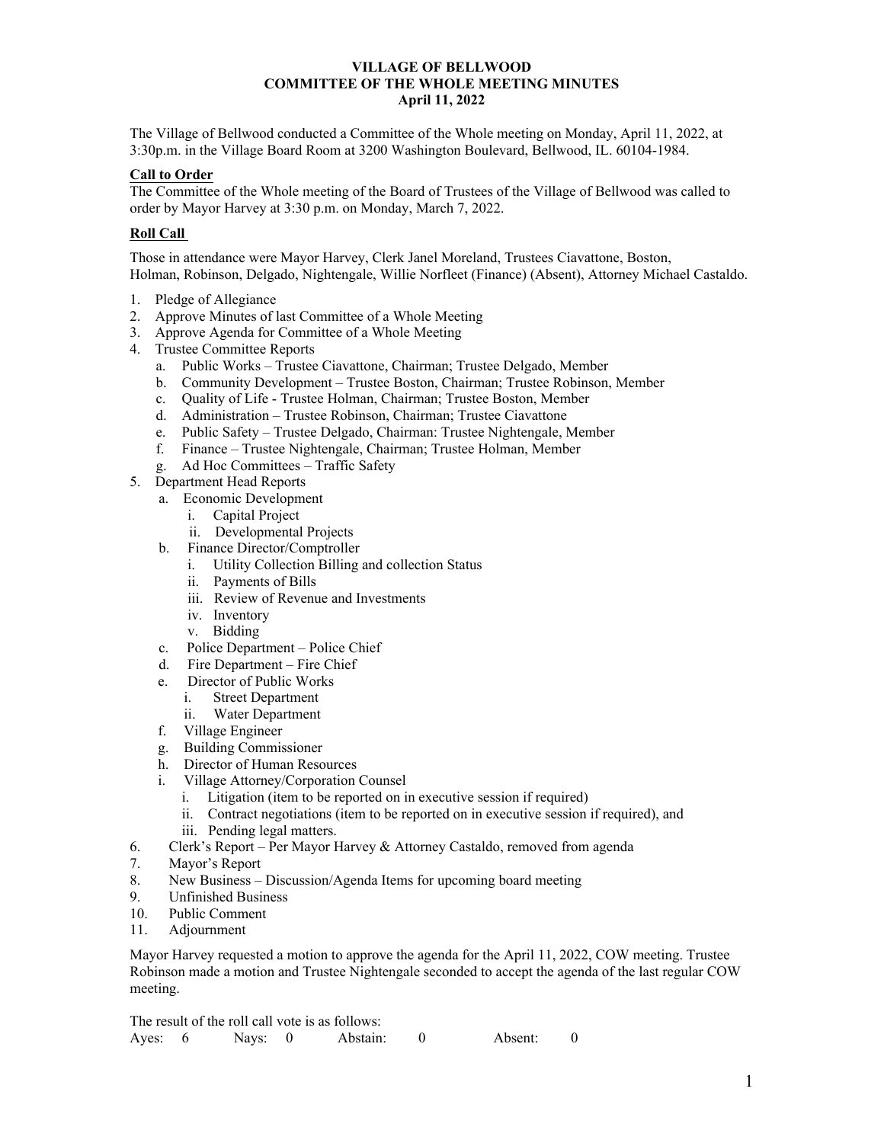### **VILLAGE OF BELLWOOD COMMITTEE OF THE WHOLE MEETING MINUTES April 11, 2022**

The Village of Bellwood conducted a Committee of the Whole meeting on Monday, April 11, 2022, at 3:30p.m. in the Village Board Room at 3200 Washington Boulevard, Bellwood, IL. 60104-1984.

# **Call to Order**

The Committee of the Whole meeting of the Board of Trustees of the Village of Bellwood was called to order by Mayor Harvey at 3:30 p.m. on Monday, March 7, 2022.

# **Roll Call**

Those in attendance were Mayor Harvey, Clerk Janel Moreland, Trustees Ciavattone, Boston, Holman, Robinson, Delgado, Nightengale, Willie Norfleet (Finance) (Absent), Attorney Michael Castaldo.

- 1. Pledge of Allegiance
- 2. Approve Minutes of last Committee of a Whole Meeting
- 3. Approve Agenda for Committee of a Whole Meeting
- 4. Trustee Committee Reports
	- a. Public Works Trustee Ciavattone, Chairman; Trustee Delgado, Member
	- b. Community Development Trustee Boston, Chairman; Trustee Robinson, Member
	- c. Quality of Life Trustee Holman, Chairman; Trustee Boston, Member
	- d. Administration Trustee Robinson, Chairman; Trustee Ciavattone
	- e. Public Safety Trustee Delgado, Chairman: Trustee Nightengale, Member
	- f. Finance Trustee Nightengale, Chairman; Trustee Holman, Member
	- g. Ad Hoc Committees Traffic Safety
- 5. Department Head Reports
	- a. Economic Development
		- i. Capital Project
		- ii. Developmental Projects
	- b. Finance Director/Comptroller
		- i. Utility Collection Billing and collection Status
			- ii. Payments of Bills
			- iii. Review of Revenue and Investments
			- iv. Inventory
			- v. Bidding
	- c. Police Department Police Chief
	- d. Fire Department Fire Chief
	- e. Director of Public Works
		- i. Street Department
		- ii. Water Department
	- f. Village Engineer
	- g. Building Commissioner
	- h. Director of Human Resources
	- i. Village Attorney/Corporation Counsel
		- i. Litigation (item to be reported on in executive session if required)
		- ii. Contract negotiations (item to be reported on in executive session if required), and
		- iii. Pending legal matters.
- 6. Clerk's Report Per Mayor Harvey  $\&$  Attorney Castaldo, removed from agenda
- 7. Mayor's Report
- 8. New Business Discussion/Agenda Items for upcoming board meeting
- 9. Unfinished Business
- 10. Public Comment
- 11. Adjournment

Mayor Harvey requested a motion to approve the agenda for the April 11, 2022, COW meeting. Trustee Robinson made a motion and Trustee Nightengale seconded to accept the agenda of the last regular COW meeting.

The result of the roll call vote is as follows: Ayes: 6 Nays: 0 Abstain: 0 Absent: 0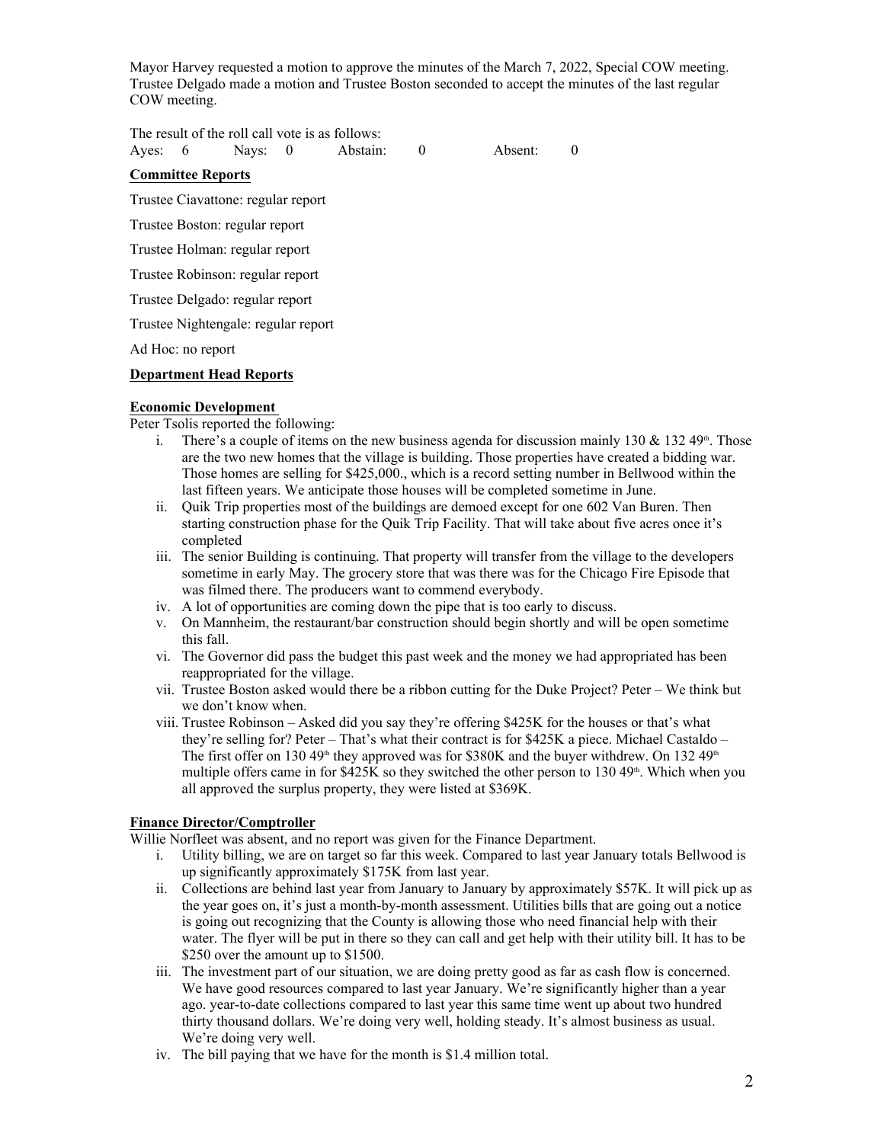Mayor Harvey requested a motion to approve the minutes of the March 7, 2022, Special COW meeting. Trustee Delgado made a motion and Trustee Boston seconded to accept the minutes of the last regular COW meeting.

The result of the roll call vote is as follows:

Ayes: 6 Nays: 0 Abstain: 0 Absent: 0

### **Committee Reports**

Trustee Ciavattone: regular report

Trustee Boston: regular report

Trustee Holman: regular report

Trustee Robinson: regular report

Trustee Delgado: regular report

Trustee Nightengale: regular report

Ad Hoc: no report

# **Department Head Reports**

### **Economic Development**

Peter Tsolis reported the following:

- i. There's a couple of items on the new business agenda for discussion mainly 130 & 132 49<sup>th</sup>. Those are the two new homes that the village is building. Those properties have created a bidding war. Those homes are selling for \$425,000., which is a record setting number in Bellwood within the last fifteen years. We anticipate those houses will be completed sometime in June.
- ii. Quik Trip properties most of the buildings are demoed except for one 602 Van Buren. Then starting construction phase for the Quik Trip Facility. That will take about five acres once it's completed
- iii. The senior Building is continuing. That property will transfer from the village to the developers sometime in early May. The grocery store that was there was for the Chicago Fire Episode that was filmed there. The producers want to commend everybody.
- iv. A lot of opportunities are coming down the pipe that is too early to discuss.
- v. On Mannheim, the restaurant/bar construction should begin shortly and will be open sometime this fall.
- vi. The Governor did pass the budget this past week and the money we had appropriated has been reappropriated for the village.
- vii. Trustee Boston asked would there be a ribbon cutting for the Duke Project? Peter We think but we don't know when.
- viii. Trustee Robinson Asked did you say they're offering \$425K for the houses or that's what they're selling for? Peter – That's what their contract is for \$425K a piece. Michael Castaldo – The first offer on 130 49<sup>th</sup> they approved was for \$380K and the buyer withdrew. On 132 49<sup>th</sup> multiple offers came in for  $$425K$  so they switched the other person to 130 49<sup>th</sup>. Which when you all approved the surplus property, they were listed at \$369K.

# **Finance Director/Comptroller**

Willie Norfleet was absent, and no report was given for the Finance Department.

- i. Utility billing, we are on target so far this week. Compared to last year January totals Bellwood is up significantly approximately \$175K from last year.
- ii. Collections are behind last year from January to January by approximately \$57K. It will pick up as the year goes on, it's just a month-by-month assessment. Utilities bills that are going out a notice is going out recognizing that the County is allowing those who need financial help with their water. The flyer will be put in there so they can call and get help with their utility bill. It has to be \$250 over the amount up to \$1500.
- iii. The investment part of our situation, we are doing pretty good as far as cash flow is concerned. We have good resources compared to last year January. We're significantly higher than a year ago. year-to-date collections compared to last year this same time went up about two hundred thirty thousand dollars. We're doing very well, holding steady. It's almost business as usual. We're doing very well.
- iv. The bill paying that we have for the month is \$1.4 million total.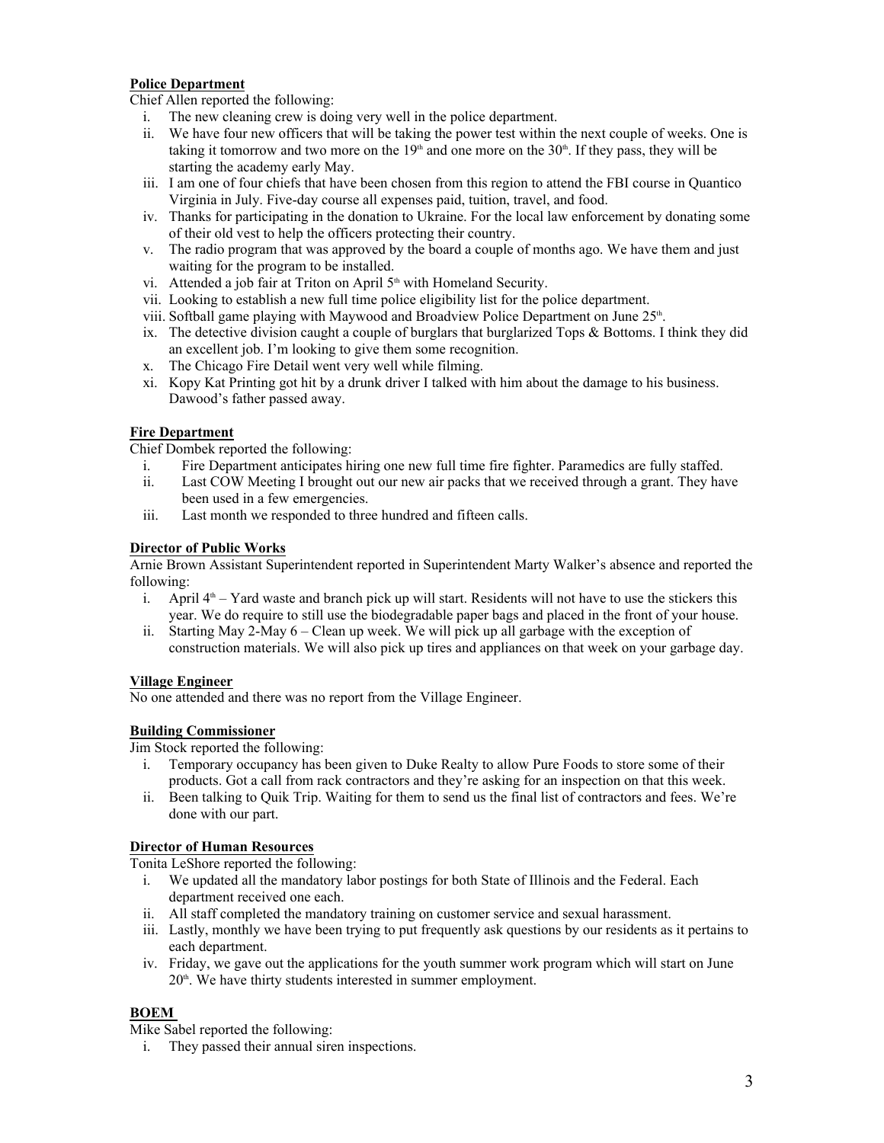# **Police Department**

Chief Allen reported the following:

- i. The new cleaning crew is doing very well in the police department.
- ii. We have four new officers that will be taking the power test within the next couple of weeks. One is taking it tomorrow and two more on the  $19<sup>th</sup>$  and one more on the  $30<sup>th</sup>$ . If they pass, they will be starting the academy early May.
- iii. I am one of four chiefs that have been chosen from this region to attend the FBI course in Quantico Virginia in July. Five-day course all expenses paid, tuition, travel, and food.
- iv. Thanks for participating in the donation to Ukraine. For the local law enforcement by donating some of their old vest to help the officers protecting their country.
- v. The radio program that was approved by the board a couple of months ago. We have them and just waiting for the program to be installed.
- vi. Attended a job fair at Triton on April  $5<sup>th</sup>$  with Homeland Security.
- vii. Looking to establish a new full time police eligibility list for the police department.
- viii. Softball game playing with Maywood and Broadview Police Department on June  $25<sup>th</sup>$ .
- . ix. The detective division caught a couple of burglars that burglarized Tops & Bottoms. I think they did an excellent job. I'm looking to give them some recognition.
- x. The Chicago Fire Detail went very well while filming.
- xi. Kopy Kat Printing got hit by a drunk driver I talked with him about the damage to his business. Dawood's father passed away.

# **Fire Department**

Chief Dombek reported the following:

- i. Fire Department anticipates hiring one new full time fire fighter. Paramedics are fully staffed.
- ii. Last COW Meeting I brought out our new air packs that we received through a grant. They have been used in a few emergencies.
- iii. Last month we responded to three hundred and fifteen calls.

### **Director of Public Works**

Arnie Brown Assistant Superintendent reported in Superintendent Marty Walker's absence and reported the following:

- i. April  $4<sup>th</sup>$  Yard waste and branch pick up will start. Residents will not have to use the stickers this year. We do require to still use the biodegradable paper bags and placed in the front of your house.
- ii. Starting May 2-May 6 Clean up week. We will pick up all garbage with the exception of construction materials. We will also pick up tires and appliances on that week on your garbage day.

#### **Village Engineer**

No one attended and there was no report from the Village Engineer.

# **Building Commissioner**

Jim Stock reported the following:

- i. Temporary occupancy has been given to Duke Realty to allow Pure Foods to store some of their products. Got a call from rack contractors and they're asking for an inspection on that this week.
- ii. Been talking to Quik Trip. Waiting for them to send us the final list of contractors and fees. We're done with our part.

#### **Director of Human Resources**

Tonita LeShore reported the following:

- i. We updated all the mandatory labor postings for both State of Illinois and the Federal. Each department received one each.
- ii. All staff completed the mandatory training on customer service and sexual harassment.
- iii. Lastly, monthly we have been trying to put frequently ask questions by our residents as it pertains to each department.
- iv. Friday, we gave out the applications for the youth summer work program which will start on June 20<sup>th</sup>. We have thirty students interested in summer employment.

# **BOEM**

Mike Sabel reported the following:

i. They passed their annual siren inspections.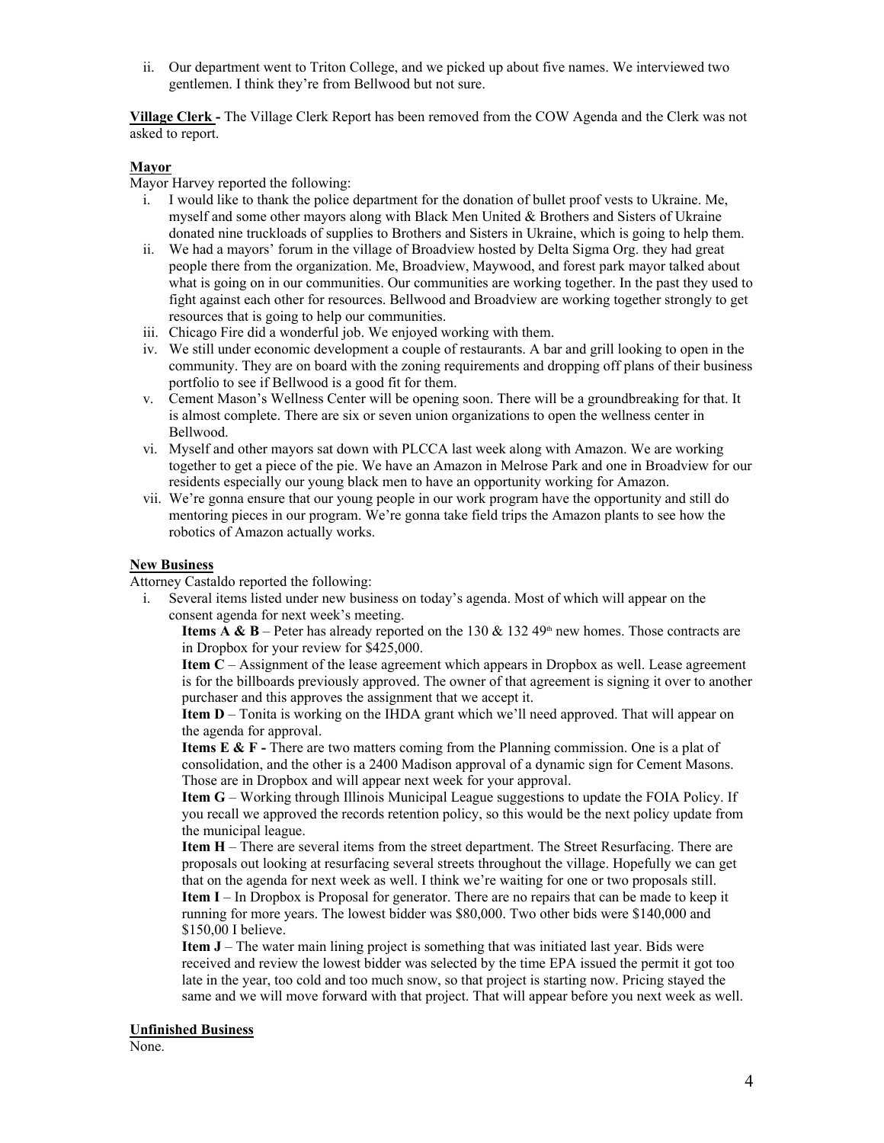ii. Our department went to Triton College, and we picked up about five names. We interviewed two gentlemen. I think they're from Bellwood but not sure.

**Village Clerk -** The Village Clerk Report has been removed from the COW Agenda and the Clerk was not asked to report.

#### **Mayor**

Mayor Harvey reported the following:

- i. I would like to thank the police department for the donation of bullet proof vests to Ukraine. Me, myself and some other mayors along with Black Men United & Brothers and Sisters of Ukraine donated nine truckloads of supplies to Brothers and Sisters in Ukraine, which is going to help them.
- ii. We had a mayors' forum in the village of Broadview hosted by Delta Sigma Org. they had great people there from the organization. Me, Broadview, Maywood, and forest park mayor talked about what is going on in our communities. Our communities are working together. In the past they used to fight against each other for resources. Bellwood and Broadview are working together strongly to get resources that is going to help our communities.
- iii. Chicago Fire did a wonderful job. We enjoyed working with them.
- iv. We still under economic development a couple of restaurants. A bar and grill looking to open in the community. They are on board with the zoning requirements and dropping off plans of their business portfolio to see if Bellwood is a good fit for them.
- v. Cement Mason's Wellness Center will be opening soon. There will be a groundbreaking for that. It is almost complete. There are six or seven union organizations to open the wellness center in Bellwood.
- vi. Myself and other mayors sat down with PLCCA last week along with Amazon. We are working together to get a piece of the pie. We have an Amazon in Melrose Park and one in Broadview for our residents especially our young black men to have an opportunity working for Amazon.
- vii. We're gonna ensure that our young people in our work program have the opportunity and still do mentoring pieces in our program. We're gonna take field trips the Amazon plants to see how the robotics of Amazon actually works.

#### **New Business**

Attorney Castaldo reported the following:

i. Several items listed under new business on today's agenda. Most of which will appear on the consent agenda for next week's meeting.

**Items A & B** – Peter has already reported on the 130 & 132 49<sup>th</sup> new homes. Those contracts are in Dropbox for your review for \$425,000.

**Item C** – Assignment of the lease agreement which appears in Dropbox as well. Lease agreement is for the billboards previously approved. The owner of that agreement is signing it over to another purchaser and this approves the assignment that we accept it.

**Item D** – Tonita is working on the IHDA grant which we'll need approved. That will appear on the agenda for approval.

**Items E & F** - There are two matters coming from the Planning commission. One is a plat of consolidation, and the other is a 2400 Madison approval of a dynamic sign for Cement Masons. Those are in Dropbox and will appear next week for your approval.

**Item G** – Working through Illinois Municipal League suggestions to update the FOIA Policy. If you recall we approved the records retention policy, so this would be the next policy update from the municipal league.

**Item H** – There are several items from the street department. The Street Resurfacing. There are proposals out looking at resurfacing several streets throughout the village. Hopefully we can get that on the agenda for next week as well. I think we're waiting for one or two proposals still. **Item I** – In Dropbox is Proposal for generator. There are no repairs that can be made to keep it running for more years. The lowest bidder was \$80,000. Two other bids were \$140,000 and \$150,00 I believe.

**Item J** – The water main lining project is something that was initiated last year. Bids were received and review the lowest bidder was selected by the time EPA issued the permit it got too late in the year, too cold and too much snow, so that project is starting now. Pricing stayed the same and we will move forward with that project. That will appear before you next week as well.

#### **Unfinished Business**

None.